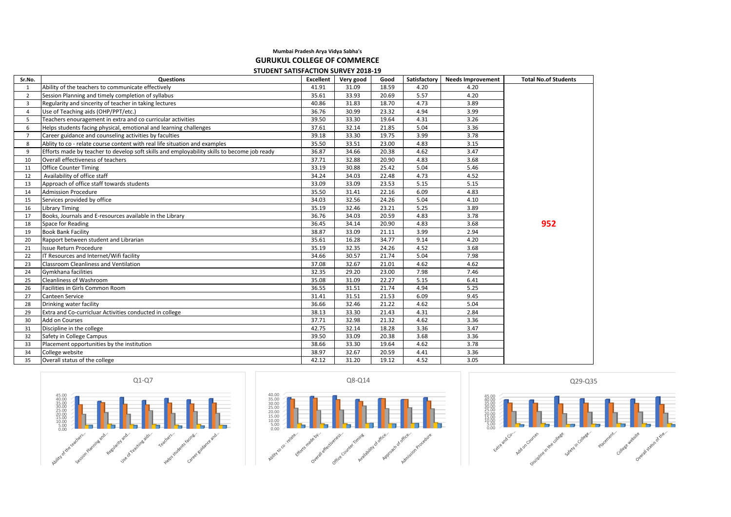## **Mumbai Pradesh Arya Vidya Sabha's GURUKUL COLLEGE OF COMMERCE STUDENT SATISFACTION SURVEY 2018-19**

| Sr.No.         | <b>Questions</b>                                                                            | Excellent | Very good | Good  | Satisfactory | <b>Needs Improvement</b> | <b>Total No.of Students</b> |
|----------------|---------------------------------------------------------------------------------------------|-----------|-----------|-------|--------------|--------------------------|-----------------------------|
| 1              | Ability of the teachers to communicate effectively                                          | 41.91     | 31.09     | 18.59 | 4.20         | 4.20                     |                             |
| 2              | Session Planning and timely completion of syllabus                                          | 35.61     | 33.93     | 20.69 | 5.57         | 4.20                     |                             |
| $\overline{3}$ | Regularity and sincerity of teacher in taking lectures                                      | 40.86     | 31.83     | 18.70 | 4.73         | 3.89                     |                             |
| $\overline{4}$ | Use of Teaching aids (OHP/PPT/etc.)                                                         | 36.76     | 30.99     | 23.32 | 4.94         | 3.99                     |                             |
| 5              | Teachers enouragement in extra and co curricular activities                                 | 39.50     | 33.30     | 19.64 | 4.31         | 3.26                     |                             |
| 6              | Helps students facing physical, emotional and learning challenges                           | 37.61     | 32.14     | 21.85 | 5.04         | 3.36                     |                             |
| $\overline{7}$ | Career guidance and counseling activities by faculties                                      | 39.18     | 33.30     | 19.75 | 3.99         | 3.78                     |                             |
| 8              | Ablity to co - relate course content with real life situation and examples                  | 35.50     | 33.51     | 23.00 | 4.83         | 3.15                     |                             |
| 9              | Efforts made by teacher to develop soft skills and employability skills to become job ready | 36.87     | 34.66     | 20.38 | 4.62         | 3.47                     |                             |
| 10             | Overall effectiveness of teachers                                                           | 37.71     | 32.88     | 20.90 | 4.83         | 3.68                     |                             |
| 11             | <b>Office Counter Timing</b>                                                                | 33.19     | 30.88     | 25.42 | 5.04         | 5.46                     |                             |
| 12             | Availability of office staff                                                                | 34.24     | 34.03     | 22.48 | 4.73         | 4.52                     |                             |
| 13             | Approach of office staff towards students                                                   | 33.09     | 33.09     | 23.53 | 5.15         | 5.15                     |                             |
| 14             | <b>Admission Procedure</b>                                                                  | 35.50     | 31.41     | 22.16 | 6.09         | 4.83                     |                             |
| 15             | Services provided by office                                                                 | 34.03     | 32.56     | 24.26 | 5.04         | 4.10                     |                             |
| 16             | <b>Library Timing</b>                                                                       | 35.19     | 32.46     | 23.21 | 5.25         | 3.89                     |                             |
| 17             | Books, Journals and E-resources available in the Library                                    | 36.76     | 34.03     | 20.59 | 4.83         | 3.78                     |                             |
| 18             | Space for Reading                                                                           | 36.45     | 34.14     | 20.90 | 4.83         | 3.68                     | 952                         |
| 19             | <b>Book Bank Facility</b>                                                                   | 38.87     | 33.09     | 21.11 | 3.99         | 2.94                     |                             |
| 20             | Rapport between student and Librarian                                                       | 35.61     | 16.28     | 34.77 | 9.14         | 4.20                     |                             |
| 21             | <b>Issue Return Procedure</b>                                                               | 35.19     | 32.35     | 24.26 | 4.52         | 3.68                     |                             |
| 22             | IT Resources and Internet/Wifi facility                                                     | 34.66     | 30.57     | 21.74 | 5.04         | 7.98                     |                             |
| 23             | Classroom Cleanliness and Ventilation                                                       | 37.08     | 32.67     | 21.01 | 4.62         | 4.62                     |                             |
| 24             | Gymkhana facilities                                                                         | 32.35     | 29.20     | 23.00 | 7.98         | 7.46                     |                             |
| 25             | Cleanliness of Washroom                                                                     | 35.08     | 31.09     | 22.27 | 5.15         | 6.41                     |                             |
| 26             | Facilities in Girls Common Room                                                             | 36.55     | 31.51     | 21.74 | 4.94         | 5.25                     |                             |
| 27             | <b>Canteen Service</b>                                                                      | 31.41     | 31.51     | 21.53 | 6.09         | 9.45                     |                             |
| 28             | Drinking water facility                                                                     | 36.66     | 32.46     | 21.22 | 4.62         | 5.04                     |                             |
| 29             | Extra and Co-curricluar Activities conducted in college                                     | 38.13     | 33.30     | 21.43 | 4.31         | 2.84                     |                             |
| 30             | <b>Add on Courses</b>                                                                       | 37.71     | 32.98     | 21.32 | 4.62         | 3.36                     |                             |
| 31             | Discipline in the college                                                                   | 42.75     | 32.14     | 18.28 | 3.36         | 3.47                     |                             |
| 32             | Safety in College Campus                                                                    | 39.50     | 33.09     | 20.38 | 3.68         | 3.36                     |                             |
| 33             | Placement opportunities by the institution                                                  | 38.66     | 33.30     | 19.64 | 4.62         | 3.78                     |                             |
| 34             | College website                                                                             | 38.97     | 32.67     | 20.59 | 4.41         | 3.36                     |                             |
| 35             | Overall status of the college                                                               | 42.12     | 31.20     | 19.12 | 4.52         | 3.05                     |                             |





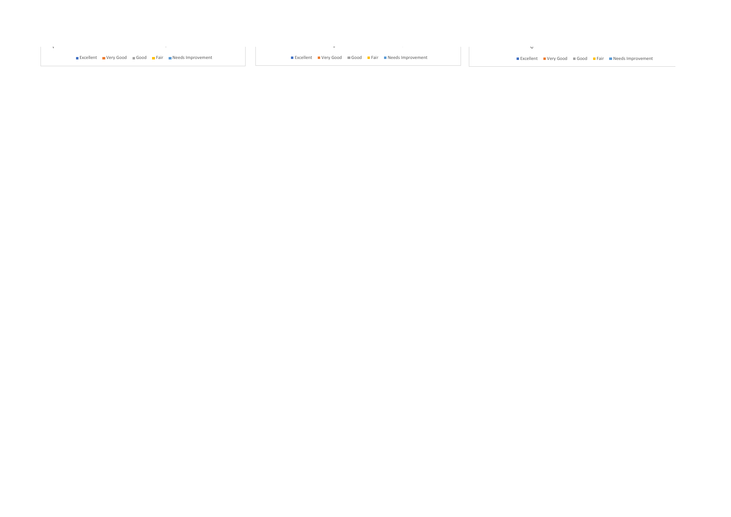■Excellent ■Very Good Good ■Fair ■Needs Improvement Network → ■Excellent ■Very Good ■Fair ■Needs Improvement → ■Excellent ■Very Good ■Fair Ment Development → ■Excellent ■Very Good ■Fair Ment Development → ■Excellent ■Very

 $\mathbf{v}$ 

 $\sim 10$ 

 $\sim$   $\sim$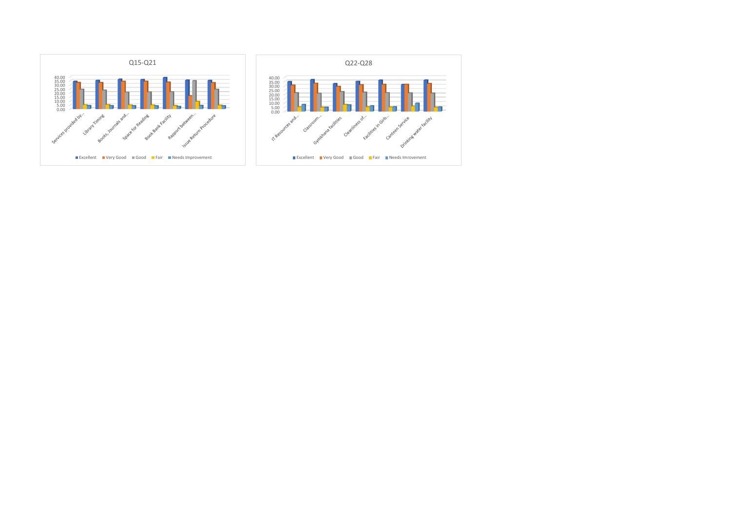